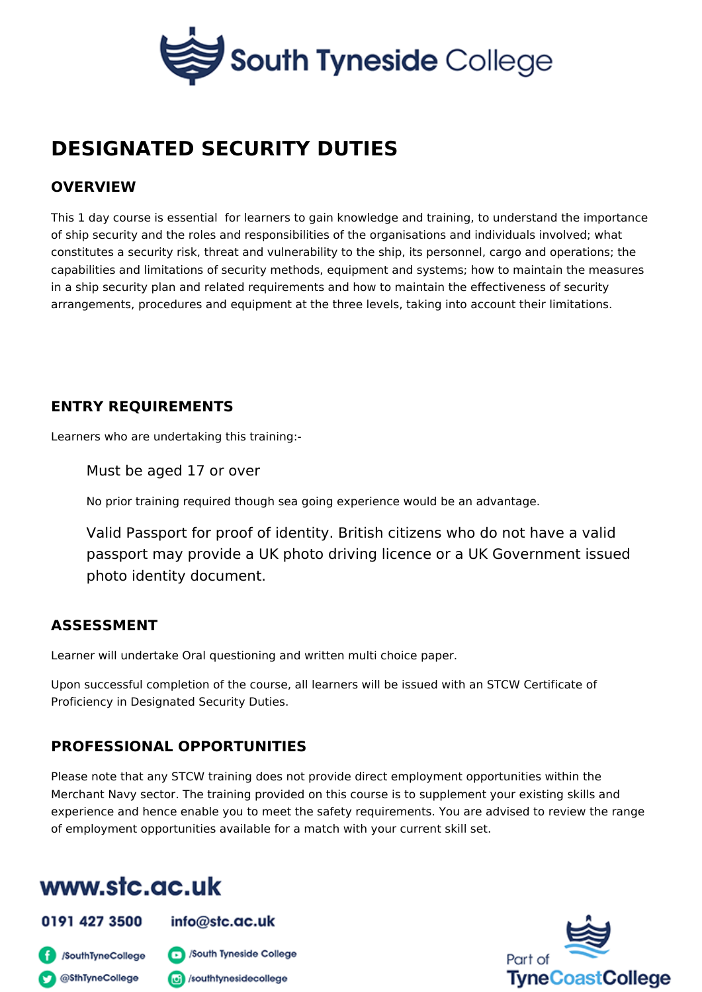# DESIGNATED SECURITY DUTIES

## OVERVIEW

This 1 day course is essential for learners to gain knowledge and training, to u of ship security and the roles and responsibilities of the organisations and indiv constitutes a security risk, threat and vulnerability to the ship, its personnel, ca capabilities and limitations of security methods, equipment and systems; how to in a ship security plan and related requirements and how to maintain the effecti arrangements, procedures and equipment at the three levels, taking into accoun

# ENTRY REQUIREMENTS

Learners who are undertaking this training:-

Must be aged 17 or over

No prior training required though sea going experience would be an advanta

Valid Passport for proof of identity. British citizens who do no passport may provide a UK photo driving licence or a UK Gov photo identity document.

#### ASSESSMENT

Learner will undertake Oral questioning and written multi choice paper.

Upon successful completion of the course, all learners will be issued with an ST Proficiency in Designated Security Duties.

# PROFESSIONAL OPPORTUNITIES

Please note that any STCW training does not provide direct employment opportu Merchant Navy sector. The training provided on this course is to supplement you experience and hence enable you to meet the safety requirements. You are advis of employment opportunities available for a match with your current skill set.